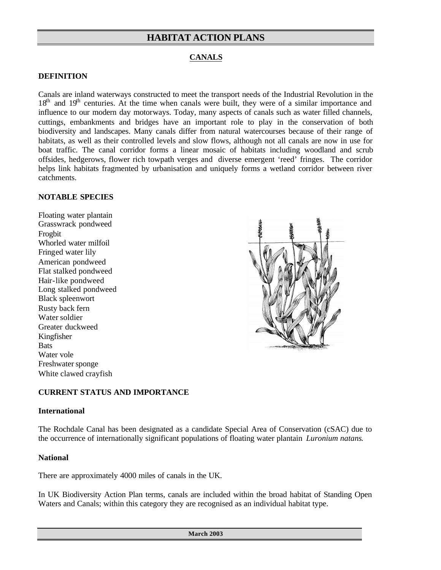## **CANALS**

#### **DEFINITION**

Canals are inland waterways constructed to meet the transport needs of the Industrial Revolution in the 18<sup>th</sup> and 19<sup>th</sup> centuries. At the time when canals were built, they were of a similar importance and influence to our modern day motorways. Today, many aspects of canals such as water filled channels, cuttings, embankments and bridges have an important role to play in the conservation of both biodiversity and landscapes. Many canals differ from natural watercourses because of their range of habitats, as well as their controlled levels and slow flows, although not all canals are now in use for boat traffic. The canal corridor forms a linear mosaic of habitats including woodland and scrub offsides, hedgerows, flower rich towpath verges and diverse emergent 'reed' fringes. The corridor helps link habitats fragmented by urbanisation and uniquely forms a wetland corridor between river catchments.

#### **NOTABLE SPECIES**

Floating water plantain Grasswrack pondweed Frogbit Whorled water milfoil Fringed water lily American pondweed Flat stalked pondweed Hair-like pondweed Long stalked pondweed Black spleenwort Rusty back fern Water soldier Greater duckweed Kingfisher **Bats** Water vole Freshwater sponge White clawed crayfish



#### **CURRENT STATUS AND IMPORTANCE**

#### **International**

The Rochdale Canal has been designated as a candidate Special Area of Conservation (cSAC) due to the occurrence of internationally significant populations of floating water plantain *Luronium natans*.

#### **National**

There are approximately 4000 miles of canals in the UK.

In UK Biodiversity Action Plan terms, canals are included within the broad habitat of Standing Open Waters and Canals; within this category they are recognised as an individual habitat type.

**March 2003**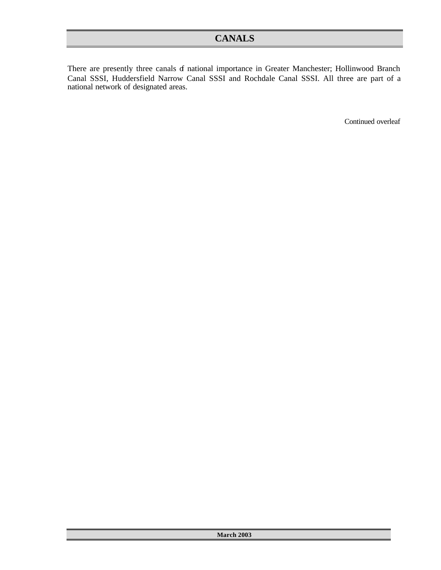There are presently three canals of national importance in Greater Manchester; Hollinwood Branch Canal SSSI, Huddersfield Narrow Canal SSSI and Rochdale Canal SSSI. All three are part of a national network of designated areas.

Continued overleaf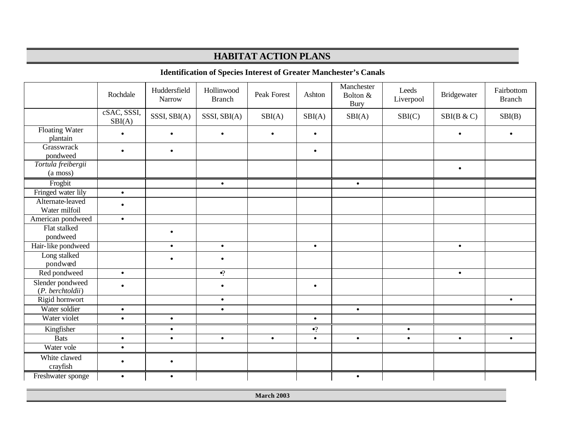## **Identification of Species Interest of Greater Manchester's Canals**

|                                      | Rochdale              | Huddersfield<br><b>Narrow</b> | Hollinwood<br><b>Branch</b> | Peak Forest | Ashton      | Manchester<br>Bolton &<br><b>Bury</b> | Leeds<br>Liverpool | Bridgewater | Fairbottom<br><b>Branch</b> |
|--------------------------------------|-----------------------|-------------------------------|-----------------------------|-------------|-------------|---------------------------------------|--------------------|-------------|-----------------------------|
|                                      | cSAC, SSSI,<br>SBI(A) | SSSI, SBI(A)                  | SSSI, SBI(A)                | SBI(A)      | SBI(A)      | SBI(A)                                | SBI(C)             | SBI(B & C)  | SBI(B)                      |
| Floating Water<br>plantain           |                       | $\bullet$                     | $\bullet$                   | $\bullet$   | $\bullet$   |                                       |                    |             |                             |
| Grasswrack<br>pondweed               | $\bullet$             | $\bullet$                     |                             |             | $\bullet$   |                                       |                    |             |                             |
| Tortula freibergii<br>(a moss)       |                       |                               |                             |             |             |                                       |                    | $\bullet$   |                             |
| Frogbit                              |                       |                               | $\bullet$                   |             |             | $\bullet$                             |                    |             |                             |
| Fringed water lily                   | $\bullet$             |                               |                             |             |             |                                       |                    |             |                             |
| Alternate-leaved<br>Water milfoil    | $\bullet$             |                               |                             |             |             |                                       |                    |             |                             |
| American pondweed                    | $\bullet$             |                               |                             |             |             |                                       |                    |             |                             |
| Flat stalked                         |                       | $\bullet$                     |                             |             |             |                                       |                    |             |                             |
| pondweed                             |                       |                               |                             |             |             |                                       |                    |             |                             |
| Hair-like pondweed                   |                       | $\bullet$                     | $\bullet$                   |             | $\bullet$   |                                       |                    | $\bullet$   |                             |
| Long stalked<br>pondwæd              |                       | $\bullet$                     | $\bullet$                   |             |             |                                       |                    |             |                             |
| Red pondweed                         | $\bullet$             |                               | $\bullet$ ?                 |             |             |                                       |                    | $\bullet$   |                             |
| Slender pondweed<br>(P. berchtoldii) |                       |                               | $\bullet$                   |             | $\bullet$   |                                       |                    |             |                             |
| Rigid hornwort                       |                       |                               | $\bullet$                   |             |             |                                       |                    |             | $\bullet$                   |
| Water soldier                        | $\bullet$             |                               | $\bullet$                   |             |             | $\bullet$                             |                    |             |                             |
| Water violet                         | $\bullet$             | $\bullet$                     |                             |             | $\bullet$   |                                       |                    |             |                             |
| Kingfisher                           |                       | $\bullet$                     |                             |             | $\bullet$ ? |                                       | $\bullet$          |             |                             |
| <b>Bats</b>                          | $\bullet$             | $\bullet$                     | $\bullet$                   | $\bullet$   | $\bullet$   | $\bullet$                             | $\bullet$          | $\bullet$   | $\bullet$                   |
| Water vole                           | $\bullet$             |                               |                             |             |             |                                       |                    |             |                             |
| White clawed<br>crayfish             |                       | $\bullet$                     |                             |             |             |                                       |                    |             |                             |
| Freshwater sponge                    | $\bullet$             | $\bullet$                     |                             |             |             | $\bullet$                             |                    |             |                             |

**March 2003**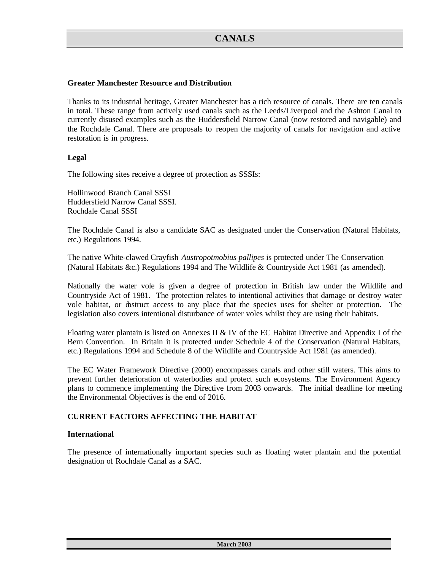### **Greater Manchester Resource and Distribution**

Thanks to its industrial heritage, Greater Manchester has a rich resource of canals. There are ten canals in total. These range from actively used canals such as the Leeds/Liverpool and the Ashton Canal to currently disused examples such as the Huddersfield Narrow Canal (now restored and navigable) and the Rochdale Canal. There are proposals to reopen the majority of canals for navigation and active restoration is in progress.

#### **Legal**

The following sites receive a degree of protection as SSSIs:

Hollinwood Branch Canal SSSI Huddersfield Narrow Canal SSSI. Rochdale Canal SSSI

The Rochdale Canal is also a candidate SAC as designated under the Conservation (Natural Habitats, etc.) Regulations 1994.

The native White-clawed Crayfish *Austropotmobius pallipes* is protected under The Conservation (Natural Habitats &c.) Regulations 1994 and The Wildlife & Countryside Act 1981 (as amended).

Nationally the water vole is given a degree of protection in British law under the Wildlife and Countryside Act of 1981. The protection relates to intentional activities that damage or destroy water vole habitat, or obstruct access to any place that the species uses for shelter or protection. The legislation also covers intentional disturbance of water voles whilst they are using their habitats.

Floating water plantain is listed on Annexes II & IV of the EC Habitat Directive and Appendix I of the Bern Convention. In Britain it is protected under Schedule 4 of the Conservation (Natural Habitats, etc.) Regulations 1994 and Schedule 8 of the Wildlife and Countryside Act 1981 (as amended).

The EC Water Framework Directive (2000) encompasses canals and other still waters. This aims to prevent further deterioration of waterbodies and protect such ecosystems. The Environment Agency plans to commence implementing the Directive from 2003 onwards. The initial deadline for meeting the Environmental Objectives is the end of 2016.

#### **CURRENT FACTORS AFFECTING THE HABITAT**

#### **International**

The presence of internationally important species such as floating water plantain and the potential designation of Rochdale Canal as a SAC.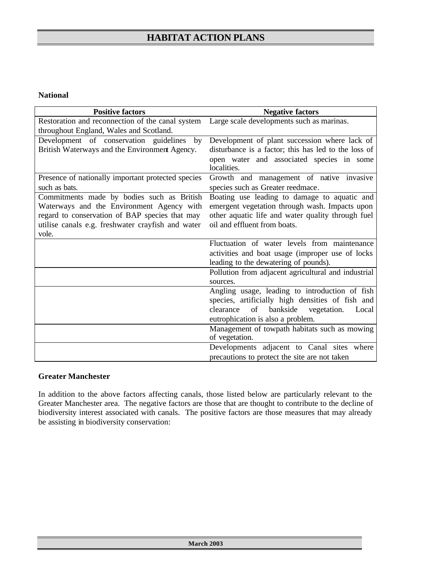### **National**

| <b>Positive factors</b>                            | <b>Negative factors</b>                                  |
|----------------------------------------------------|----------------------------------------------------------|
| Restoration and reconnection of the canal system   | Large scale developments such as marinas.                |
| throughout England, Wales and Scotland.            |                                                          |
| Development of conservation guidelines<br>by       | Development of plant succession where lack of            |
| British Waterways and the Environment Agency.      | disturbance is a factor; this has led to the loss of     |
|                                                    | open water and associated species in some<br>localities. |
| Presence of nationally important protected species | Growth and management of native invasive                 |
| such as bats.                                      | species such as Greater reedmace.                        |
| Commitments made by bodies such as British         | Boating use leading to damage to aquatic and             |
| Waterways and the Environment Agency with          | emergent vegetation through wash. Impacts upon           |
| regard to conservation of BAP species that may     | other aquatic life and water quality through fuel        |
| utilise canals e.g. freshwater crayfish and water  | oil and effluent from boats.                             |
| vole.                                              |                                                          |
|                                                    | Fluctuation of water levels from maintenance             |
|                                                    | activities and boat usage (improper use of locks)        |
|                                                    | leading to the dewatering of pounds).                    |
|                                                    | Pollution from adjacent agricultural and industrial      |
|                                                    | sources.                                                 |
|                                                    | Angling usage, leading to introduction of fish           |
|                                                    | species, artificially high densities of fish and         |
|                                                    | of<br>bankside<br>vegetation.<br>clearance<br>Local      |
|                                                    | eutrophication is also a problem.                        |
|                                                    | Management of towpath habitats such as mowing            |
|                                                    | of vegetation.                                           |
|                                                    | Developments adjacent to Canal sites where               |
|                                                    | precautions to protect the site are not taken            |

## **Greater Manchester**

In addition to the above factors affecting canals, those listed below are particularly relevant to the Greater Manchester area. The negative factors are those that are thought to contribute to the decline of biodiversity interest associated with canals. The positive factors are those measures that may already be assisting in biodiversity conservation: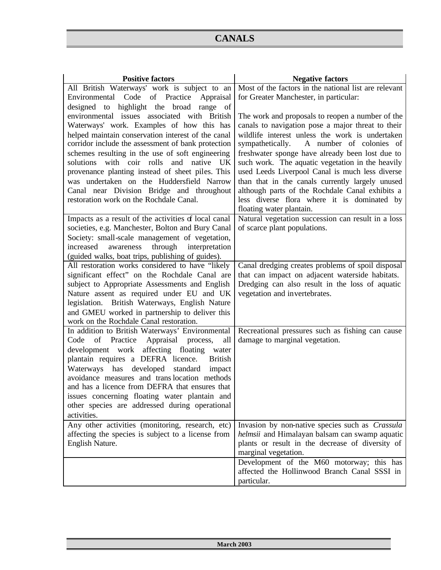$\ddot{\phantom{a}}$ 

| <b>Positive factors</b>                                                                                                                                                                                                                                                                                                                                                                                                                                                                                                                                                                                                                                                                                                                                                | <b>Negative factors</b>                                                                                                                                                                                                                                                                                                                                                                                                                                                                                                                                                                                                                                                          |
|------------------------------------------------------------------------------------------------------------------------------------------------------------------------------------------------------------------------------------------------------------------------------------------------------------------------------------------------------------------------------------------------------------------------------------------------------------------------------------------------------------------------------------------------------------------------------------------------------------------------------------------------------------------------------------------------------------------------------------------------------------------------|----------------------------------------------------------------------------------------------------------------------------------------------------------------------------------------------------------------------------------------------------------------------------------------------------------------------------------------------------------------------------------------------------------------------------------------------------------------------------------------------------------------------------------------------------------------------------------------------------------------------------------------------------------------------------------|
| All British Waterways' work is subject to an                                                                                                                                                                                                                                                                                                                                                                                                                                                                                                                                                                                                                                                                                                                           | Most of the factors in the national list are relevant                                                                                                                                                                                                                                                                                                                                                                                                                                                                                                                                                                                                                            |
| Code of Practice<br>Appraisal<br>Environmental<br>designed to<br>highlight the broad range<br>of<br>environmental issues associated with British<br>Waterways' work. Examples of how this has<br>helped maintain conservation interest of the canal<br>corridor include the assessment of bank protection<br>schemes resulting in the use of soft engineering<br>solutions with coir rolls<br>and native<br>UK<br>provenance planting instead of sheet piles. This<br>was undertaken on the Huddersfield Narrow<br>Canal near Division Bridge and throughout<br>restoration work on the Rochdale Canal.<br>Impacts as a result of the activities of local canal<br>societies, e.g. Manchester, Bolton and Bury Canal<br>Society: small-scale management of vegetation, | for Greater Manchester, in particular:<br>The work and proposals to reopen a number of the<br>canals to navigation pose a major threat to their<br>wildlife interest unless the work is undertaken<br>sympathetically. A number of colonies of<br>freshwater sponge have already been lost due to<br>such work. The aquatic vegetation in the heavily<br>used Leeds Liverpool Canal is much less diverse<br>than that in the canals currently largely unused<br>although parts of the Rochdale Canal exhibits a<br>less diverse flora where it is dominated by<br>floating water plantain.<br>Natural vegetation succession can result in a loss<br>of scarce plant populations. |
| increased<br>awareness<br>through<br>interpretation<br>(guided walks, boat trips, publishing of guides).                                                                                                                                                                                                                                                                                                                                                                                                                                                                                                                                                                                                                                                               |                                                                                                                                                                                                                                                                                                                                                                                                                                                                                                                                                                                                                                                                                  |
| All restoration works considered to have "likely<br>significant effect" on the Rochdale Canal are<br>subject to Appropriate Assessments and English<br>Nature assent as required under EU and UK<br>legislation. British Waterways, English Nature<br>and GMEU worked in partnership to deliver this<br>work on the Rochdale Canal restoration.                                                                                                                                                                                                                                                                                                                                                                                                                        | Canal dredging creates problems of spoil disposal<br>that can impact on adjacent waterside habitats.<br>Dredging can also result in the loss of aquatic<br>vegetation and invertebrates.                                                                                                                                                                                                                                                                                                                                                                                                                                                                                         |
| In addition to British Waterways' Environmental<br>Practice<br>Appraisal<br>Code<br>of<br>process,<br>all<br>development work<br>affecting floating<br>water<br>plantain requires a DEFRA licence.<br><b>British</b><br>Waterways has developed<br>standard impact<br>avoidance measures and translocation methods<br>and has a licence from DEFRA that ensures that<br>issues concerning floating water plantain and<br>other species are addressed during operational<br>activities.                                                                                                                                                                                                                                                                                 | Recreational pressures such as fishing can cause<br>damage to marginal vegetation.                                                                                                                                                                                                                                                                                                                                                                                                                                                                                                                                                                                               |
| Any other activities (monitoring, research, etc)<br>affecting the species is subject to a license from<br>English Nature.                                                                                                                                                                                                                                                                                                                                                                                                                                                                                                                                                                                                                                              | Invasion by non-native species such as <i>Crassula</i><br>helmsii and Himalayan balsam can swamp aquatic<br>plants or result in the decrease of diversity of<br>marginal vegetation.<br>Development of the M60 motorway; this has<br>affected the Hollinwood Branch Canal SSSI in                                                                                                                                                                                                                                                                                                                                                                                                |
|                                                                                                                                                                                                                                                                                                                                                                                                                                                                                                                                                                                                                                                                                                                                                                        | particular.                                                                                                                                                                                                                                                                                                                                                                                                                                                                                                                                                                                                                                                                      |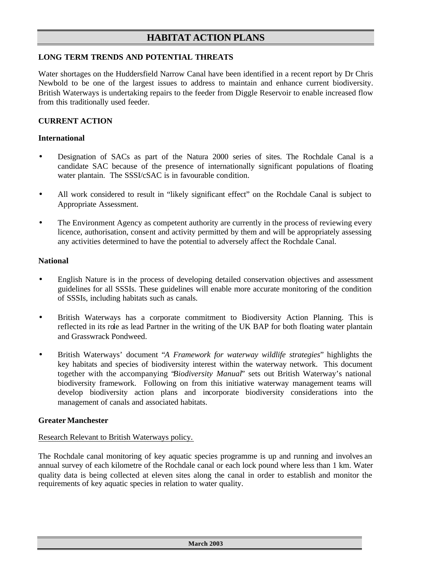## **LONG TERM TRENDS AND POTENTIAL THREATS**

Water shortages on the Huddersfield Narrow Canal have been identified in a recent report by Dr Chris Newbold to be one of the largest issues to address to maintain and enhance current biodiversity. British Waterways is undertaking repairs to the feeder from Diggle Reservoir to enable increased flow from this traditionally used feeder.

### **CURRENT ACTION**

#### **International**

- Designation of SACs as part of the Natura 2000 series of sites. The Rochdale Canal is a candidate SAC because of the presence of internationally significant populations of floating water plantain. The SSSI/cSAC is in favourable condition.
- All work considered to result in "likely significant effect" on the Rochdale Canal is subject to Appropriate Assessment.
- The Environment Agency as competent authority are currently in the process of reviewing every licence, authorisation, consent and activity permitted by them and will be appropriately assessing any activities determined to have the potential to adversely affect the Rochdale Canal.

#### **National**

- English Nature is in the process of developing detailed conservation objectives and assessment guidelines for all SSSIs. These guidelines will enable more accurate monitoring of the condition of SSSIs, including habitats such as canals.
- British Waterways has a corporate commitment to Biodiversity Action Planning. This is reflected in its role as lead Partner in the writing of the UK BAP for both floating water plantain and Grasswrack Pondweed.
- British Waterways' document "*A Framework for waterway wildlife strategies*" highlights the key habitats and species of biodiversity interest within the waterway network. This document together with the accompanying "*Biodiversity Manual*" sets out British Waterway's national biodiversity framework. Following on from this initiative waterway management teams will develop biodiversity action plans and incorporate biodiversity considerations into the management of canals and associated habitats.

#### **Greater Manchester**

#### Research Relevant to British Waterways policy.

The Rochdale canal monitoring of key aquatic species programme is up and running and involves an annual survey of each kilometre of the Rochdale canal or each lock pound where less than 1 km. Water quality data is being collected at eleven sites along the canal in order to establish and monitor the requirements of key aquatic species in relation to water quality.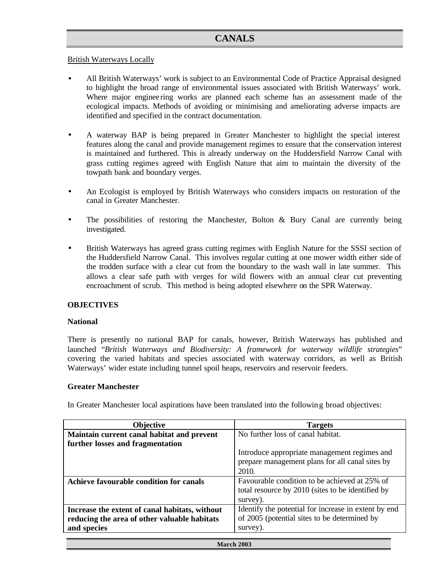## British Waterways Locally

- All British Waterways' work is subject to an Environmental Code of Practice Appraisal designed to highlight the broad range of environmental issues associated with British Waterways' work. Where major enginee ring works are planned each scheme has an assessment made of the ecological impacts. Methods of avoiding or minimising and ameliorating adverse impacts are identified and specified in the contract documentation.
- A waterway BAP is being prepared in Greater Manchester to highlight the special interest features along the canal and provide management regimes to ensure that the conservation interest is maintained and furthered. This is already underway on the Huddersfield Narrow Canal with grass cutting regimes agreed with English Nature that aim to maintain the diversity of the towpath bank and boundary verges.
- An Ecologist is employed by British Waterways who considers impacts on restoration of the canal in Greater Manchester.
- The possibilities of restoring the Manchester, Bolton  $\&$  Bury Canal are currently being investigated.
- British Waterways has agreed grass cutting regimes with English Nature for the SSSI section of the Huddersfield Narrow Canal. This involves regular cutting at one mower width either side of the trodden surface with a clear cut from the boundary to the wash wall in late summer. This allows a clear safe path with verges for wild flowers with an annual clear cut preventing encroachment of scrub. This method is being adopted elsewhere on the SPR Waterway.

#### **OBJECTIVES**

#### **National**

There is presently no national BAP for canals, however, British Waterways has published and launched "*British Waterways and Biodiversity: A framework for waterway wildlife strategies*" covering the varied habitats and species associated with waterway corridors, as well as British Waterways' wider estate including tunnel spoil heaps, reservoirs and reservoir feeders.

#### **Greater Manchester**

In Greater Manchester local aspirations have been translated into the following broad objectives:

| <b>Objective</b>                               | <b>Targets</b>                                       |
|------------------------------------------------|------------------------------------------------------|
| Maintain current canal habitat and prevent     | No further loss of canal habitat.                    |
| further losses and fragmentation               |                                                      |
|                                                | Introduce appropriate management regimes and         |
|                                                | prepare management plans for all canal sites by      |
|                                                | 2010.                                                |
| Achieve favourable condition for canals        | Favourable condition to be achieved at 25% of        |
|                                                | total resource by 2010 (sites to be identified by    |
|                                                | survey).                                             |
| Increase the extent of canal habitats, without | Identify the potential for increase in extent by end |
| reducing the area of other valuable habitats   | of 2005 (potential sites to be determined by         |
| and species                                    | survey).                                             |
|                                                |                                                      |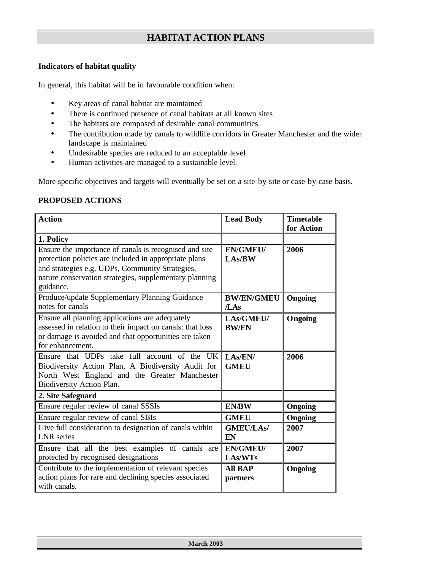#### **Indicators of habitat quality**

In general, this habitat will be in favourable condition when:

- Key areas of canal habitat are maintained
- There is continued presence of canal habitats at all known sites
- The habitats are composed of desirable canal communities
- The contribution made by canals to wildlife corridors in Greater Manchester and the wider landscape is maintained
- Undesirable species are reduced to an acceptable level
- Human activities are managed to a sustainable level.

More specific objectives and targets will eventually be set on a site-by-site or case-by-case basis.

## **PROPOSED ACTIONS**

| <b>Action</b>                                                                                                                                                                                                                             | <b>Lead Body</b>           | <b>Timetable</b><br>for Action |
|-------------------------------------------------------------------------------------------------------------------------------------------------------------------------------------------------------------------------------------------|----------------------------|--------------------------------|
| 1. Policy                                                                                                                                                                                                                                 |                            |                                |
| Ensure the importance of canals is recognised and site<br>protection policies are included in appropriate plans<br>and strategies e.g. UDPs, Community Strategies,<br>nature conservation strategies, supplementary planning<br>guidance. | <b>EN/GMEU/</b><br>LAs/BW  | 2006                           |
| Produce/update Supplementary Planning Guidance<br>notes for canals                                                                                                                                                                        | <b>BW/EN/GMEU</b><br>/LAs  | <b>Ongoing</b>                 |
| Ensure all planning applications are adequately<br>assessed in relation to their impact on canals: that loss<br>or damage is avoided and that opportunities are taken<br>for enhancement.                                                 | LAs/GMEU/<br><b>BW/EN</b>  | Ongoing                        |
| Ensure that UDPs take full account of the UK<br>Biodiversity Action Plan, A Biodiversity Audit for<br>North West England and the Greater Manchester<br>Biodiversity Action Plan.                                                          | LAs/EN/<br><b>GMEU</b>     | 2006                           |
| 2. Site Safeguard                                                                                                                                                                                                                         |                            |                                |
| Ensure regular review of canal SSSIs                                                                                                                                                                                                      | <b>EN/BW</b>               | Ongoing                        |
| Ensure regular review of canal SBIs                                                                                                                                                                                                       | <b>GMEU</b>                | Ongoing                        |
| Give full consideration to designation of canals within<br><b>LNR</b> series                                                                                                                                                              | <b>GMEU/LAs/</b><br>EN     | 2007                           |
| Ensure that all the best examples of canals are<br>protected by recognised designations                                                                                                                                                   | <b>EN/GMEU/</b><br>LAs/WTs | 2007                           |
| Contribute to the implementation of relevant species<br>action plans for rare and declining species associated<br>with canals.                                                                                                            | <b>All BAP</b><br>partners | <b>Ongoing</b>                 |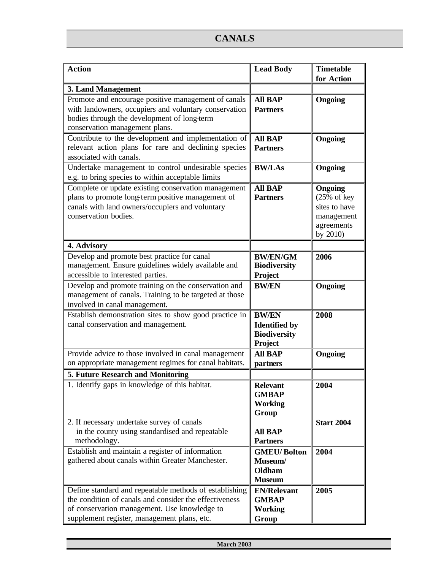| <b>Action</b>                                                                                                                                                                                                   | <b>Lead Body</b>                                                       | <b>Timetable</b><br>for Action                                                    |
|-----------------------------------------------------------------------------------------------------------------------------------------------------------------------------------------------------------------|------------------------------------------------------------------------|-----------------------------------------------------------------------------------|
| 3. Land Management                                                                                                                                                                                              |                                                                        |                                                                                   |
| Promote and encourage positive management of canals<br>with landowners, occupiers and voluntary conservation<br>bodies through the development of long-term<br>conservation management plans.                   | <b>All BAP</b><br><b>Partners</b>                                      | Ongoing                                                                           |
| Contribute to the development and implementation of<br>relevant action plans for rare and declining species<br>associated with canals.                                                                          | <b>All BAP</b><br><b>Partners</b>                                      | Ongoing                                                                           |
| Undertake management to control undesirable species<br>e.g. to bring species to within acceptable limits                                                                                                        | <b>BW/LAs</b>                                                          | <b>Ongoing</b>                                                                    |
| Complete or update existing conservation management<br>plans to promote long-term positive management of<br>canals with land owners/occupiers and voluntary<br>conservation bodies.                             | <b>All BAP</b><br><b>Partners</b>                                      | Ongoing<br>$(25%$ of key<br>sites to have<br>management<br>agreements<br>by 2010) |
| 4. Advisory                                                                                                                                                                                                     |                                                                        |                                                                                   |
| Develop and promote best practice for canal<br>management. Ensure guidelines widely available and<br>accessible to interested parties.                                                                          | <b>BW/EN/GM</b><br><b>Biodiversity</b><br>Project                      | 2006                                                                              |
| Develop and promote training on the conservation and<br>management of canals. Training to be targeted at those<br>involved in canal management.                                                                 | <b>BW/EN</b>                                                           | Ongoing                                                                           |
| Establish demonstration sites to show good practice in<br>canal conservation and management.                                                                                                                    | <b>BW/EN</b><br><b>Identified</b> by<br><b>Biodiversity</b><br>Project | 2008                                                                              |
| Provide advice to those involved in canal management<br>on appropriate management regimes for canal habitats.                                                                                                   | <b>All BAP</b><br>partners                                             | Ongoing                                                                           |
| 5. Future Research and Monitoring                                                                                                                                                                               |                                                                        |                                                                                   |
| 1. Identify gaps in knowledge of this habitat.                                                                                                                                                                  | <b>Relevant</b><br><b>GMBAP</b><br><b>Working</b><br>Group             | 2004                                                                              |
| 2. If necessary undertake survey of canals<br>in the county using standardised and repeatable<br>methodology.                                                                                                   | <b>All BAP</b><br><b>Partners</b>                                      | <b>Start 2004</b>                                                                 |
| Establish and maintain a register of information<br>gathered about canals within Greater Manchester.                                                                                                            | <b>GMEU/Bolton</b><br>Museum/<br><b>Oldham</b><br><b>Museum</b>        | 2004                                                                              |
| Define standard and repeatable methods of establishing<br>the condition of canals and consider the effectiveness<br>of conservation management. Use knowledge to<br>supplement register, management plans, etc. | <b>EN/Relevant</b><br><b>GMBAP</b><br><b>Working</b><br>Group          | 2005                                                                              |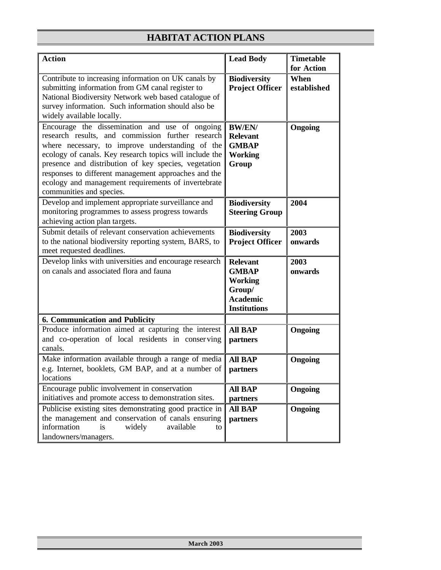| <b>Action</b>                                                                                                                                                                                                                                                                                                                                                                                                         | <b>Lead Body</b>                                                                                      | <b>Timetable</b><br>for Action |
|-----------------------------------------------------------------------------------------------------------------------------------------------------------------------------------------------------------------------------------------------------------------------------------------------------------------------------------------------------------------------------------------------------------------------|-------------------------------------------------------------------------------------------------------|--------------------------------|
| Contribute to increasing information on UK canals by<br>submitting information from GM canal register to<br>National Biodiversity Network web based catalogue of<br>survey information. Such information should also be<br>widely available locally.                                                                                                                                                                  | <b>Biodiversity</b><br><b>Project Officer</b>                                                         | When<br>established            |
| Encourage the dissemination and use of ongoing<br>research results, and commission further research<br>where necessary, to improve understanding of the<br>ecology of canals. Key research topics will include the<br>presence and distribution of key species, vegetation<br>responses to different management approaches and the<br>ecology and management requirements of invertebrate<br>communities and species. | <b>BW/EN/</b><br><b>Relevant</b><br><b>GMBAP</b><br><b>Working</b><br>Group                           | Ongoing                        |
| Develop and implement appropriate surveillance and<br>monitoring programmes to assess progress towards<br>achieving action plan targets.                                                                                                                                                                                                                                                                              | <b>Biodiversity</b><br><b>Steering Group</b>                                                          | 2004                           |
| Submit details of relevant conservation achievements<br>to the national biodiversity reporting system, BARS, to<br>meet requested deadlines.                                                                                                                                                                                                                                                                          | <b>Biodiversity</b><br><b>Project Officer</b>                                                         | 2003<br>onwards                |
| Develop links with universities and encourage research<br>on canals and associated flora and fauna                                                                                                                                                                                                                                                                                                                    | <b>Relevant</b><br><b>GMBAP</b><br><b>Working</b><br>Group/<br><b>Academic</b><br><b>Institutions</b> | 2003<br>onwards                |
| <b>6. Communication and Publicity</b>                                                                                                                                                                                                                                                                                                                                                                                 |                                                                                                       |                                |
| Produce information aimed at capturing the interest<br>and co-operation of local residents in conserving<br>canals.                                                                                                                                                                                                                                                                                                   | <b>All BAP</b><br>partners                                                                            | <b>Ongoing</b>                 |
| Make information available through a range of media<br>e.g. Internet, booklets, GM BAP, and at a number of<br>locations                                                                                                                                                                                                                                                                                               | <b>All BAP</b><br>partners                                                                            | Ongoing                        |
| Encourage public involvement in conservation<br>initiatives and promote access to demonstration sites.                                                                                                                                                                                                                                                                                                                | <b>All BAP</b><br>partners                                                                            | <b>Ongoing</b>                 |
| Publicise existing sites demonstrating good practice in<br>the management and conservation of canals ensuring<br>information<br>is<br>widely<br>available<br>to<br>landowners/managers.                                                                                                                                                                                                                               | <b>All BAP</b><br>partners                                                                            | <b>Ongoing</b>                 |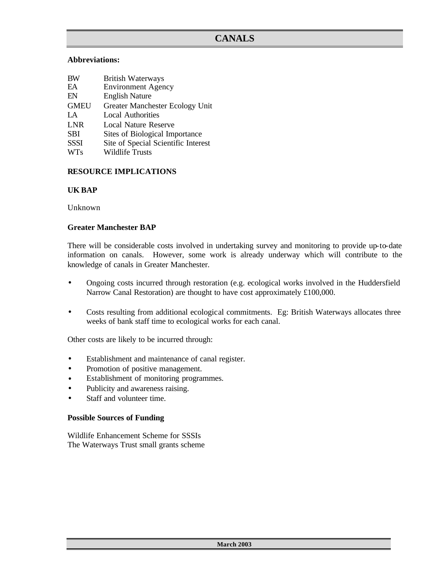### **Abbreviations:**

| <b>BW</b>   | <b>British Waterways</b>            |
|-------------|-------------------------------------|
| EA          | <b>Environment Agency</b>           |
| EN          | <b>English Nature</b>               |
| <b>GMEU</b> | Greater Manchester Ecology Unit     |
| LA.         | <b>Local Authorities</b>            |
| <b>LNR</b>  | Local Nature Reserve                |
| <b>SBI</b>  | Sites of Biological Importance      |
| <b>SSSI</b> | Site of Special Scientific Interest |
| <b>WTs</b>  | <b>Wildlife Trusts</b>              |

## **RESOURCE IMPLICATIONS**

### **UK BAP**

Unknown

### **Greater Manchester BAP**

There will be considerable costs involved in undertaking survey and monitoring to provide up-to-date information on canals. However, some work is already underway which will contribute to the knowledge of canals in Greater Manchester.

- Ongoing costs incurred through restoration (e.g. ecological works involved in the Huddersfield Narrow Canal Restoration) are thought to have cost approximately £100,000.
- Costs resulting from additional ecological commitments. Eg: British Waterways allocates three weeks of bank staff time to ecological works for each canal.

Other costs are likely to be incurred through:

- Establishment and maintenance of canal register.
- Promotion of positive management.
- Establishment of monitoring programmes.
- Publicity and awareness raising.
- Staff and volunteer time.

#### **Possible Sources of Funding**

Wildlife Enhancement Scheme for SSSIs The Waterways Trust small grants scheme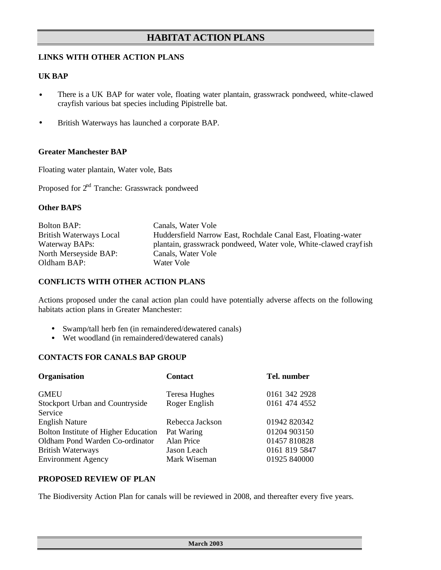## **LINKS WITH OTHER ACTION PLANS**

### **UK BAP**

- There is a UK BAP for water vole, floating water plantain, grasswrack pondweed, white-clawed crayfish various bat species including Pipistrelle bat.
- British Waterways has launched a corporate BAP.

#### **Greater Manchester BAP**

Floating water plantain, Water vole, Bats

Proposed for 2<sup>nd</sup> Tranche: Grasswrack pondweed

### **Other BAPS**

| <b>Bolton BAP:</b>      | Canals, Water Vole                                               |
|-------------------------|------------------------------------------------------------------|
| British Waterways Local | Huddersfield Narrow East, Rochdale Canal East, Floating-water    |
| Waterway BAPs:          | plantain, grasswrack pondweed, Water vole, White-clawed crayfish |
| North Merseyside BAP:   | Canals, Water Vole                                               |
| Oldham BAP:             | Water Vole                                                       |

#### **CONFLICTS WITH OTHER ACTION PLANS**

Actions proposed under the canal action plan could have potentially adverse affects on the following habitats action plans in Greater Manchester:

- Swamp/tall herb fen (in remaindered/dewatered canals)
- Wet woodland (in remaindered/dewatered canals)

#### **CONTACTS FOR CANALS BAP GROUP**

| Organisation                         | <b>Contact</b>       | Tel. number   |
|--------------------------------------|----------------------|---------------|
| <b>GMEU</b>                          | <b>Teresa Hughes</b> | 0161 342 2928 |
| Stockport Urban and Countryside      | Roger English        | 0161 474 4552 |
| Service                              |                      |               |
| <b>English Nature</b>                | Rebecca Jackson      | 01942 820342  |
| Bolton Institute of Higher Education | Pat Waring           | 01204 903150  |
| Oldham Pond Warden Co-ordinator      | Alan Price           | 01457 810828  |
| <b>British Waterways</b>             | Jason Leach          | 0161 819 5847 |
| <b>Environment Agency</b>            | Mark Wiseman         | 01925 840000  |
|                                      |                      |               |

#### **PROPOSED REVIEW OF PLAN**

The Biodiversity Action Plan for canals will be reviewed in 2008, and thereafter every five years.